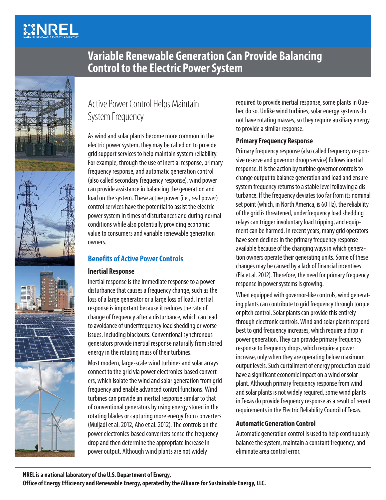# **MINREL**



## **Variable Renewable Generation Can Provide Balancing Control to the Electric Power System**

## Active Power Control Helps Maintain System Frequency

As wind and solar plants become more common in the electric power system, they may be called on to provide grid support services to help maintain system reliability. For example, through the use of inertial response, primary frequency response, and automatic generation control (also called secondary frequency response), wind power can provide assistance in balancing the generation and load on the system. These active power (i.e., real power) control services have the potential to assist the electric power system in times of disturbances and during normal conditions while also potentially providing economic value to consumers and variable renewable generation owners.

### **Benefits of Active Power Controls**

#### **Inertial Response**

Inertial response is the immediate response to a power disturbance that causes a frequency change, such as the loss of a large generator or a large loss of load. Inertial response is important because it reduces the rate of change of frequency after a disturbance, which can lead to avoidance of underfrequency load shedding or worse issues, including blackouts. Conventional synchronous generators provide inertial response naturally from stored energy in the rotating mass of their turbines.

Most modern, large-scale wind turbines and solar arrays connect to the grid via power electronics-based converters, which isolate the wind and solar generation from grid frequency and enable advanced control functions. Wind turbines can provide an inertial response similar to that of conventional generators by using energy stored in the rotating blades or capturing more energy from converters (Muljadi et al. 2012, Aho et al. 2012). The controls on the power electronics-based converters sense the frequency drop and then determine the appropriate increase in power output. Although wind plants are not widely

required to provide inertial response, some plants in Quebec do so. Unlike wind turbines, solar energy systems do not have rotating masses, so they require auxiliary energy to provide a similar response.

#### **Primary Frequency Response**

Primary frequency response (also called frequency responsive reserve and governor droop service) follows inertial response. It is the action by turbine governor controls to change output to balance generation and load and ensure system frequency returns to a stable level following a disturbance. If the frequency deviates too far from its nominal set point (which, in North America, is 60 Hz), the reliability of the grid is threatened, underfrequency load shedding relays can trigger involuntary load tripping, and equipment can be harmed. In recent years, many grid operators have seen declines in the primary frequency response available because of the changing ways in which generation owners operate their generating units. Some of these changes may be caused by a lack of financial incentives (Ela et al. 2012). Therefore, the need for primary frequency response in power systems is growing.

When equipped with governor-like controls, wind generating plants can contribute to grid frequency through torque or pitch control. Solar plants can provide this entirely through electronic controls. Wind and solar plants respond best to grid frequency increases, which require a drop in power generation. They can provide primary frequency response to frequency drops, which require a power increase, only when they are operating below maximum output levels. Such curtailment of energy production could have a significant economic impact on a wind or solar plant. Although primary frequency response from wind and solar plants is not widely required, some wind plants in Texas do provide frequency response as a result of recent requirements in the Electric Reliability Council of Texas.

#### **Automatic Generation Control**

Automatic generation control is used to help continuously balance the system, maintain a constant frequency, and eliminate area control error.